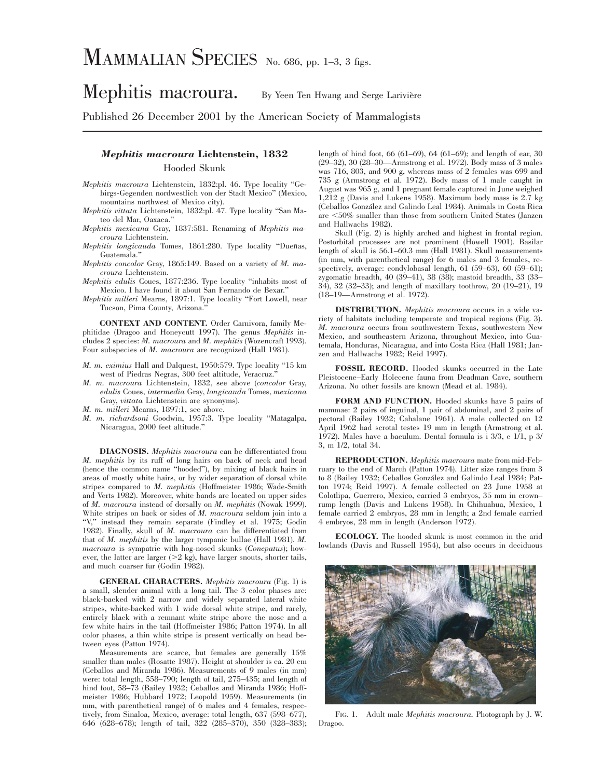# MAMMALIAN SPECIES No. 686, pp. 1–3, 3 figs.

## Mephitis macroura. By Yeen Ten Hwang and Serge Larivière

Published 26 December 2001 by the American Society of Mammalogists

### *Mephitis macroura* **Lichtenstein, 1832**

#### Hooded Skunk

- *Mephitis macroura* Lichtenstein, 1832:pl. 46. Type locality ''Gebirgs-Gegenden nordwestlich von der Stadt Mexico'' (Mexico, mountains northwest of Mexico city).
- *Mephitis vittata* Lichtenstein, 1832:pl. 47. Type locality ''San Mateo del Mar, Oaxaca.''
- *Mephitis mexicana* Gray, 1837:581. Renaming of *Mephitis macroura* Lichtenstein.
- *Mephitis longicauda* Tomes, 1861:280. Type locality "Dueñas, Guatemala.''
- *Mephitis concolor* Gray, 1865:149. Based on a variety of *M. macroura* Lichtenstein.
- *Mephitis edulis* Coues, 1877:236. Type locality ''inhabits most of Mexico. I have found it about San Fernando de Bexar.''
- *Mephitis milleri* Mearns, 1897:1. Type locality ''Fort Lowell, near Tucson, Pima County, Arizona.''

**CONTEXT AND CONTENT.** Order Carnivora, family Mephitidae (Dragoo and Honeycutt 1997). The genus *Mephitis* includes 2 species: *M. macroura* and *M. mephitis* (Wozencraft 1993). Four subspecies of *M. macroura* are recognized (Hall 1981).

- *M. m. eximius* Hall and Dalquest, 1950:579. Type locality ''15 km west of Piedras Negras, 300 feet altitude, Veracruz.''
- *M. m. macroura* Lichtenstein, 1832, see above (*concolor* Gray, *edulis* Coues, *intermedia* Gray, *longicauda* Tomes, *mexicana* Gray, *vittata* Lichtenstein are synonyms).
- *M. m. milleri* Mearns, 1897:1, see above.
- *M. m. richardsoni* Goodwin, 1957:3. Type locality ''Matagalpa, Nicaragua, 2000 feet altitude.''

**DIAGNOSIS.** *Mephitis macroura* can be differentiated from *M. mephitis* by its ruff of long hairs on back of neck and head (hence the common name ''hooded''), by mixing of black hairs in areas of mostly white hairs, or by wider separation of dorsal white stripes compared to *M. mephitis* (Hoffmeister 1986; Wade-Smith and Verts 1982). Moreover, white bands are located on upper sides of *M. macroura* instead of dorsally on *M. mephitis* (Nowak 1999). White stripes on back or sides of *M. macroura* seldom join into a "V," instead they remain separate (Findley et al. 1975; Godin 1982). Finally, skull of *M. macroura* can be differentiated from that of *M. mephitis* by the larger tympanic bullae (Hall 1981). *M. macroura* is sympatric with hog-nosed skunks (*Conepatus*); however, the latter are larger  $(>2 \text{ kg})$ , have larger snouts, shorter tails, and much coarser fur (Godin 1982).

**GENERAL CHARACTERS.** *Mephitis macroura* (Fig. 1) is a small, slender animal with a long tail. The 3 color phases are: black-backed with 2 narrow and widely separated lateral white stripes, white-backed with 1 wide dorsal white stripe, and rarely, entirely black with a remnant white stripe above the nose and a few white hairs in the tail (Hoffmeister 1986; Patton 1974). In all color phases, a thin white stripe is present vertically on head between eyes (Patton 1974).

Measurements are scarce, but females are generally 15% smaller than males (Rosatte 1987). Height at shoulder is ca. 20 cm (Ceballos and Miranda 1986). Measurements of 9 males (in mm) were: total length, 558–790; length of tail, 275–435; and length of hind foot, 58–73 (Bailey 1932; Ceballos and Miranda 1986; Hoffmeister 1986; Hubbard 1972; Leopold 1959). Measurements (in mm, with parenthetical range) of 6 males and 4 females, respectively, from Sinaloa, Mexico, average: total length, 637 (598–677), 646 (628–678); length of tail, 322 (285–370), 350 (328–383); length of hind foot, 66 (61–69), 64 (61–69); and length of ear, 30 (29–32), 30 (28–30—Armstrong et al. 1972). Body mass of 3 males was 716, 803, and 900 g, whereas mass of 2 females was 699 and 735 g (Armstrong et al. 1972). Body mass of 1 male caught in August was 965 g, and 1 pregnant female captured in June weighed 1,212 g (Davis and Lukens 1958). Maximum body mass is 2.7 kg (Ceballos González and Galindo Leal 1984). Animals in Costa Rica are <50% smaller than those from southern United States (Janzen and Hallwachs 1982).

Skull (Fig. 2) is highly arched and highest in frontal region. Postorbital processes are not prominent (Howell 1901). Basilar length of skull is 56.1–60.3 mm (Hall 1981). Skull measurements (in mm, with parenthetical range) for 6 males and 3 females, respectively, average: condylobasal length, 61 (59–63), 60 (59–61); zygomatic breadth, 40 (39–41), 38 (38); mastoid breadth, 33 (33– 34), 32 (32–33); and length of maxillary toothrow, 20 (19–21), 19 (18–19—Armstrong et al. 1972).

**DISTRIBUTION.** *Mephitis macroura* occurs in a wide variety of habitats including temperate and tropical regions (Fig. 3). *M. macroura* occurs from southwestern Texas, southwestern New Mexico, and southeastern Arizona, throughout Mexico, into Guatemala, Honduras, Nicaragua, and into Costa Rica (Hall 1981; Janzen and Hallwachs 1982; Reid 1997).

**FOSSIL RECORD.** Hooded skunks occurred in the Late Pleistocene–Early Holecene fauna from Deadman Cave, southern Arizona. No other fossils are known (Mead et al. 1984).

**FORM AND FUNCTION.** Hooded skunks have 5 pairs of mammae: 2 pairs of inguinal, 1 pair of abdominal, and 2 pairs of pectoral (Bailey 1932; Cahalane 1961). A male collected on 12 April 1962 had scrotal testes 19 mm in length (Armstrong et al. 1972). Males have a baculum. Dental formula is i 3/3, c 1/1, p 3/ 3, m 1/2, total 34.

**REPRODUCTION.** *Mephitis macroura* mate from mid-February to the end of March (Patton 1974). Litter size ranges from 3 to 8 (Bailey 1932; Ceballos González and Galindo Leal 1984; Patton 1974; Reid 1997). A female collected on 23 June 1958 at Colotlipa, Guerrero, Mexico, carried 3 embryos, 35 mm in crown– rump length (Davis and Lukens 1958). In Chihuahua, Mexico, 1 female carried 2 embryos, 28 mm in length; a 2nd female carried 4 embryos, 28 mm in length (Anderson 1972).

**ECOLOGY.** The hooded skunk is most common in the arid lowlands (Davis and Russell 1954), but also occurs in deciduous



FIG. 1. Adult male *Mephitis macroura.* Photograph by J. W. Dragoo.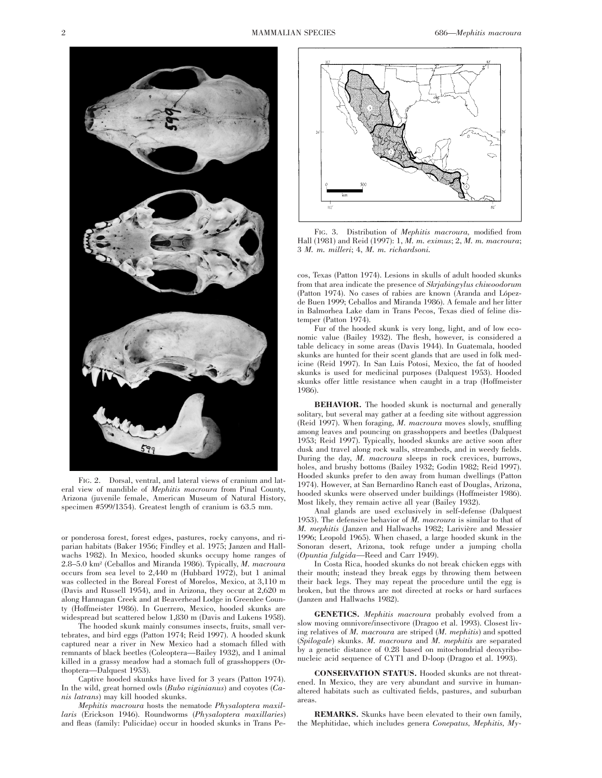

FIG. 2. Dorsal, ventral, and lateral views of cranium and lateral view of mandible of *Mephitis macroura* from Pinal County, Arizona (juvenile female, American Museum of Natural History, specimen #599/1354). Greatest length of cranium is 63.5 mm.

or ponderosa forest, forest edges, pastures, rocky canyons, and riparian habitats (Baker 1956; Findley et al. 1975; Janzen and Hallwachs 1982). In Mexico, hooded skunks occupy home ranges of 2.8–5.0 km2 (Ceballos and Miranda 1986). Typically, *M. macroura* occurs from sea level to 2,440 m (Hubbard 1972), but 1 animal was collected in the Boreal Forest of Morelos, Mexico, at 3,110 m (Davis and Russell 1954), and in Arizona, they occur at 2,620 m along Hannagan Creek and at Beaverhead Lodge in Greenlee County (Hoffmeister 1986). In Guerrero, Mexico, hooded skunks are widespread but scattered below 1,830 m (Davis and Lukens 1958).

The hooded skunk mainly consumes insects, fruits, small vertebrates, and bird eggs (Patton 1974; Reid 1997). A hooded skunk captured near a river in New Mexico had a stomach filled with remnants of black beetles (Coleoptera—Bailey 1932), and 1 animal killed in a grassy meadow had a stomach full of grasshoppers (Orthoptera—Dalquest 1953).

Captive hooded skunks have lived for 3 years (Patton 1974). In the wild, great horned owls (*Bubo viginianus*) and coyotes (*Canis latrans*) may kill hooded skunks.

*Mephitis macroura* hosts the nematode *Physaloptera maxillaris* (Erickson 1946). Roundworms (*Physaloptera maxillaries*) and fleas (family: Pulicidae) occur in hooded skunks in Trans Pe-



FIG. 3. Distribution of *Mephitis macroura,* modified from Hall (1981) and Reid (1997): 1, *M. m. eximus*; 2, *M. m. macroura*; 3 *M. m. milleri*; 4, *M. m. richardsoni.*

cos, Texas (Patton 1974). Lesions in skulls of adult hooded skunks from that area indicate the presence of *Skrjabingylus chiwoodorum* (Patton 1974). No cases of rabies are known (Aranda and Lópezde Buen 1999; Ceballos and Miranda 1986). A female and her litter in Balmorhea Lake dam in Trans Pecos, Texas died of feline distemper (Patton 1974).

Fur of the hooded skunk is very long, light, and of low economic value (Bailey 1932). The flesh, however, is considered a table delicacy in some areas (Davis 1944). In Guatemala, hooded skunks are hunted for their scent glands that are used in folk medicine (Reid 1997). In San Luis Potosi, Mexico, the fat of hooded skunks is used for medicinal purposes (Dalquest 1953). Hooded skunks offer little resistance when caught in a trap (Hoffmeister 1986).

**BEHAVIOR.** The hooded skunk is nocturnal and generally solitary, but several may gather at a feeding site without aggression (Reid 1997). When foraging, *M. macroura* moves slowly, snuffling among leaves and pouncing on grasshoppers and beetles (Dalquest 1953; Reid 1997). Typically, hooded skunks are active soon after dusk and travel along rock walls, streambeds, and in weedy fields. During the day, *M. macroura* sleeps in rock crevices, burrows, holes, and brushy bottoms (Bailey 1932; Godin 1982; Reid 1997). Hooded skunks prefer to den away from human dwellings (Patton 1974). However, at San Bernardino Ranch east of Douglas, Arizona, hooded skunks were observed under buildings (Hoffmeister 1986). Most likely, they remain active all year (Bailey 1932).

Anal glands are used exclusively in self-defense (Dalquest 1953). The defensive behavior of *M. macroura* is similar to that of *M. mephitis* (Janzen and Hallwachs 1982; Larivière and Messier 1996; Leopold 1965). When chased, a large hooded skunk in the Sonoran desert, Arizona, took refuge under a jumping cholla (*Opuntia fulgida*—Reed and Carr 1949).

In Costa Rica, hooded skunks do not break chicken eggs with their mouth; instead they break eggs by throwing them between their back legs. They may repeat the procedure until the egg is broken, but the throws are not directed at rocks or hard surfaces (Janzen and Hallwachs 1982).

**GENETICS.** *Mephitis macroura* probably evolved from a slow moving omnivore/insectivore (Dragoo et al. 1993). Closest living relatives of *M. macroura* are striped (*M. mephitis*) and spotted (*Spilogale*) skunks. *M. macroura* and *M. mephitis* are separated by a genetic distance of 0.28 based on mitochondrial deoxyribonucleic acid sequence of CYT1 and D-loop (Dragoo et al. 1993).

**CONSERVATION STATUS.** Hooded skunks are not threatened. In Mexico, they are very abundant and survive in humanaltered habitats such as cultivated fields, pastures, and suburban areas.

**REMARKS.** Skunks have been elevated to their own family, the Mephitidae, which includes genera *Conepatus, Mephitis, My-*